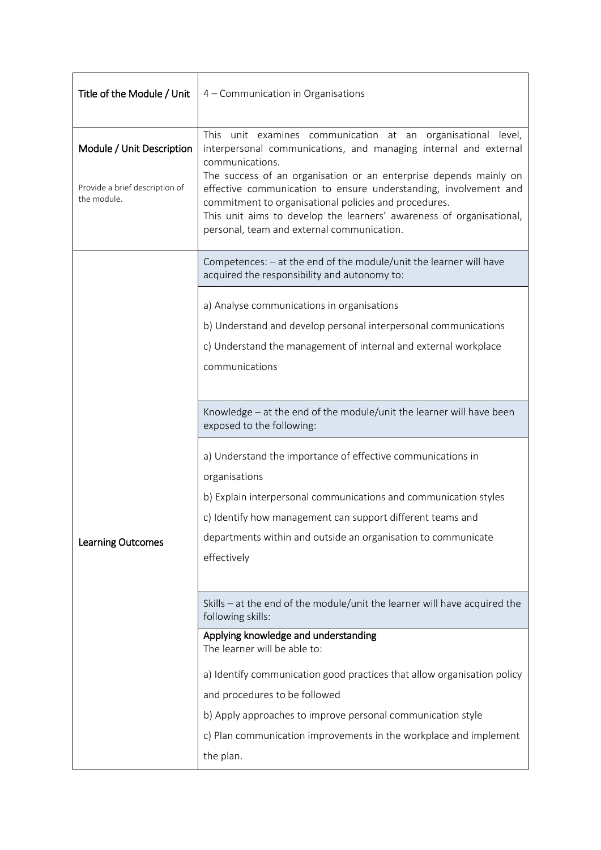| Title of the Module / Unit                    | 4 - Communication in Organisations                                                                                                                                                                                                                                                                                                                                                                                                                                          |  |  |  |
|-----------------------------------------------|-----------------------------------------------------------------------------------------------------------------------------------------------------------------------------------------------------------------------------------------------------------------------------------------------------------------------------------------------------------------------------------------------------------------------------------------------------------------------------|--|--|--|
| Module / Unit Description                     | This unit examines communication at an organisational level,<br>interpersonal communications, and managing internal and external<br>communications.<br>The success of an organisation or an enterprise depends mainly on<br>effective communication to ensure understanding, involvement and<br>commitment to organisational policies and procedures.<br>This unit aims to develop the learners' awareness of organisational,<br>personal, team and external communication. |  |  |  |
| Provide a brief description of<br>the module. |                                                                                                                                                                                                                                                                                                                                                                                                                                                                             |  |  |  |
|                                               | Competences: - at the end of the module/unit the learner will have<br>acquired the responsibility and autonomy to:                                                                                                                                                                                                                                                                                                                                                          |  |  |  |
| <b>Learning Outcomes</b>                      | a) Analyse communications in organisations<br>b) Understand and develop personal interpersonal communications<br>c) Understand the management of internal and external workplace<br>communications                                                                                                                                                                                                                                                                          |  |  |  |
|                                               | Knowledge - at the end of the module/unit the learner will have been<br>exposed to the following:                                                                                                                                                                                                                                                                                                                                                                           |  |  |  |
|                                               | a) Understand the importance of effective communications in<br>organisations<br>b) Explain interpersonal communications and communication styles<br>c) Identify how management can support different teams and<br>departments within and outside an organisation to communicate<br>effectively                                                                                                                                                                              |  |  |  |
|                                               | Skills - at the end of the module/unit the learner will have acquired the<br>following skills:                                                                                                                                                                                                                                                                                                                                                                              |  |  |  |
|                                               | Applying knowledge and understanding<br>The learner will be able to:<br>a) Identify communication good practices that allow organisation policy                                                                                                                                                                                                                                                                                                                             |  |  |  |
|                                               | and procedures to be followed                                                                                                                                                                                                                                                                                                                                                                                                                                               |  |  |  |
|                                               | b) Apply approaches to improve personal communication style                                                                                                                                                                                                                                                                                                                                                                                                                 |  |  |  |
|                                               | c) Plan communication improvements in the workplace and implement                                                                                                                                                                                                                                                                                                                                                                                                           |  |  |  |
|                                               | the plan.                                                                                                                                                                                                                                                                                                                                                                                                                                                                   |  |  |  |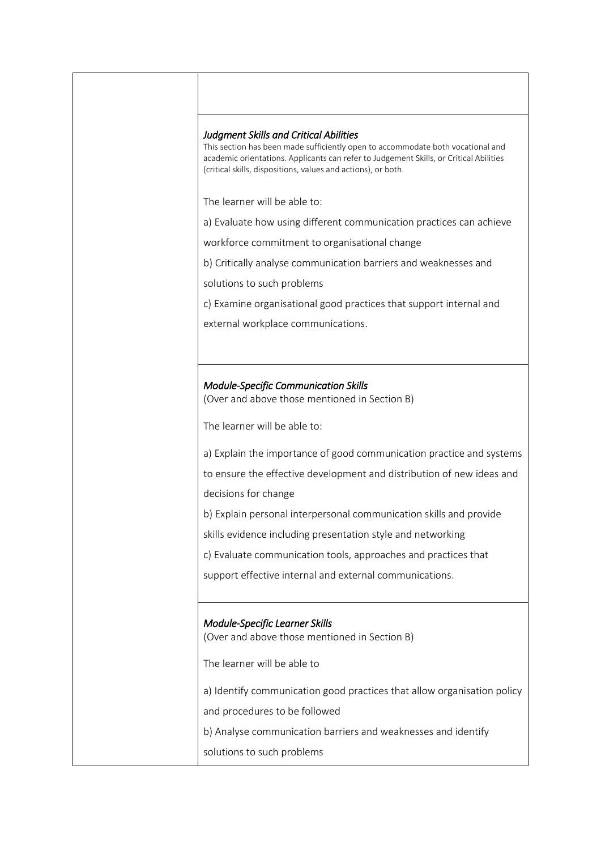## *Judgment Skills and Critical Abilities*

This section has been made sufficiently open to accommodate both vocational and academic orientations. Applicants can refer to Judgement Skills, or Critical Abilities (critical skills, dispositions, values and actions), or both.

The learner will be able to:

a) Evaluate how using different communication practices can achieve

workforce commitment to organisational change

b) Critically analyse communication barriers and weaknesses and

solutions to such problems

c) Examine organisational good practices that support internal and

external workplace communications.

## *Module-Specific Communication Skills*

(Over and above those mentioned in Section B)

The learner will be able to:

a) Explain the importance of good communication practice and systems

to ensure the effective development and distribution of new ideas and decisions for change

b) Explain personal interpersonal communication skills and provide

skills evidence including presentation style and networking

c) Evaluate communication tools, approaches and practices that

support effective internal and external communications.

## *Module-Specific Learner Skills*

(Over and above those mentioned in Section B)

The learner will be able to

a) Identify communication good practices that allow organisation policy and procedures to be followed

b) Analyse communication barriers and weaknesses and identify

solutions to such problems